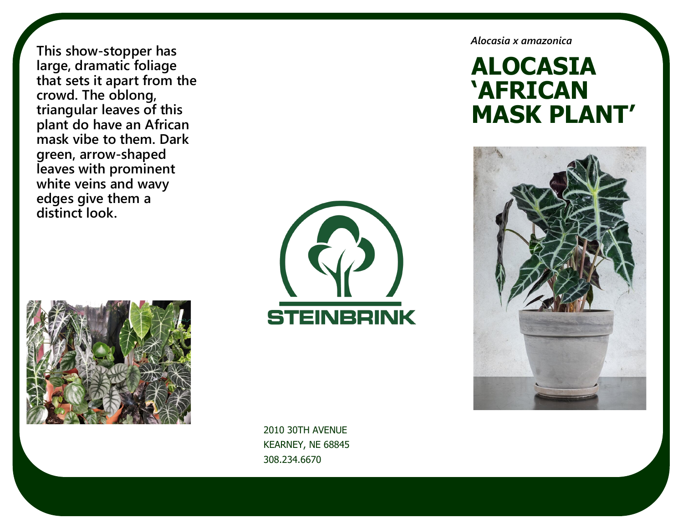**This show-stopper has large, dramatic foliage that sets it apart from the crowd. The oblong, triangular leaves of this plant do have an African mask vibe to them. Dark green, arrow-shaped leaves with prominent white veins and wavy edges give them a distinct look.** 





2010 30TH AVENUE KEARNEY, NE 68845 308.234.6670

*Alocasia x amazonica* 

# **ALOCASIA 'AFRICAN MASK PLANT'**